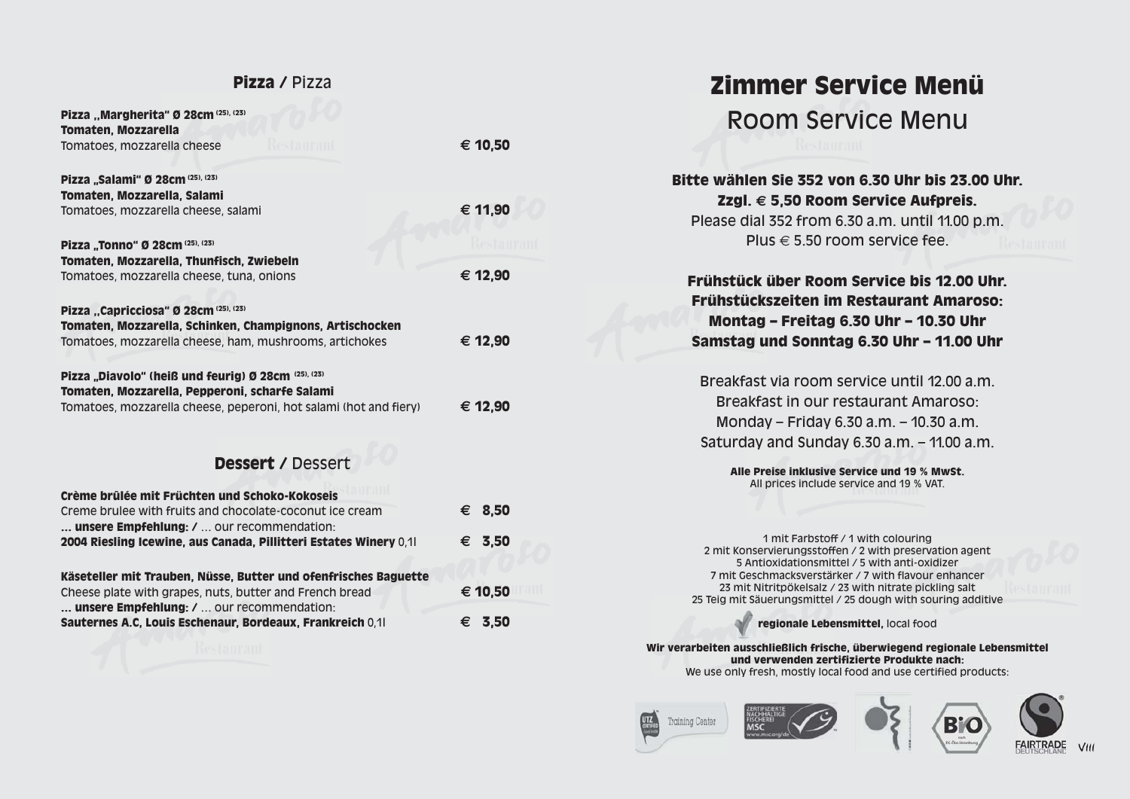| Pizza / Pizza                                                     |            |  |
|-------------------------------------------------------------------|------------|--|
| Pizza "Margherita" Ø 28cm (25), (23)                              |            |  |
| Tomaten, Mozzarella                                               |            |  |
| Tomatoes, mozzarella cheese                                       | € 10,50    |  |
| Pizza "Salami" Ø 28cm (25), (23)                                  |            |  |
| Tomaten, Mozzarella, Salami                                       |            |  |
| Tomatoes, mozzarella cheese, salami                               | € 11,90    |  |
| Pizza "Tonno" Ø 28cm (25), (23)                                   | Kestaurani |  |
| Tomaten, Mozzarella, Thunfisch, Zwiebeln                          |            |  |
| Tomatoes, mozzarella cheese, tuna, onions                         | € 12,90    |  |
| Pizza "Capricciosa" Ø 28cm (25), (23)                             |            |  |
| Tomaten, Mozzarella, Schinken, Champignons, Artischocken          |            |  |
| Tomatoes, mozzarella cheese, ham, mushrooms, artichokes           | € 12,90    |  |
| Pizza "Diavolo" (heiß und feurig) Ø 28cm (25), (23)               |            |  |
| Tomaten, Mozzarella, Pepperoni, scharfe Salami                    |            |  |
| Tomatoes, mozzarella cheese, peperoni, hot salami (hot and fiery) | € 12,90    |  |
|                                                                   |            |  |
| <b>Dessert / Dessert</b>                                          |            |  |
| Crème brûlée mit Früchten und Schoko-Kokoseis                     |            |  |
| Creme brulee with fruits and chocolate-coconut ice cream          | € 8,50     |  |
| unsere Empfehlung: /  our recommendation:                         |            |  |
| 2004 Riesling Icewine, aus Canada, Pillitteri Estates Winery 0,11 | € 3,50     |  |
|                                                                   |            |  |
| Käseteller mit Trauben, Nüsse, Butter und ofenfrisches Baguette   |            |  |
| Cheese plate with grapes, nuts, butter and French bread           | € 10,50    |  |
| unsere Empfehlung: /  our recommendation:                         |            |  |
| Sauternes A.C, Louis Eschenaur, Bordeaux, Frankreich 0,11         | 3,50<br>€  |  |
|                                                                   |            |  |
|                                                                   |            |  |

## Zimmer Service Menü Room Service Menu

Bitte wählen Sie 352 von 6.30 Uhr bis 23.00 Uhr. Zzgl. **€** 5,50 Room Service Aufpreis. Please dial 352 from 6.30 a.m. until 11.00 p.m. Plus  $\in$  5.50 room service fee.

Frühstück über Room Service bis 12.00 Uhr. Frühstückszeiten im Restaurant Amaroso: Montag – Freitag 6.30 Uhr – 10.30 Uhr Samstag und Sonntag 6.30 Uhr – 11.00 Uhr

Breakfast via room service until 12.00 a.m. Breakfast in our restaurant Amaroso: Monday – Friday 6.30 a.m. – 10.30 a.m. Saturday and Sunday 6.30 a.m. – 11.00 a.m.

> Alle Preise inklusive Service und 19 % MwSt. All prices include service and 19 % VAT.

1 mit Farbstoff / 1 with colouring 2 mit Konservierungsstoffen / 2 with preservation agent 5 Antioxidationsmittel / 5 with anti-oxidizer 7 mit Geschmacksverstärker / 7 with flavour enhancer 23 mit Nitritpökelsalz / 23 with nitrate pickling salt 25 Teig mit Säuerungsmittel / 25 dough with souring additive

regionale Lebensmittel, local food

Wir verarbeiten ausschließlich frische, überwiegend regionale Lebensmittel und verwenden zertifizierte Produkte nach: We use only fresh, mostly local food and use certified products:



VIII